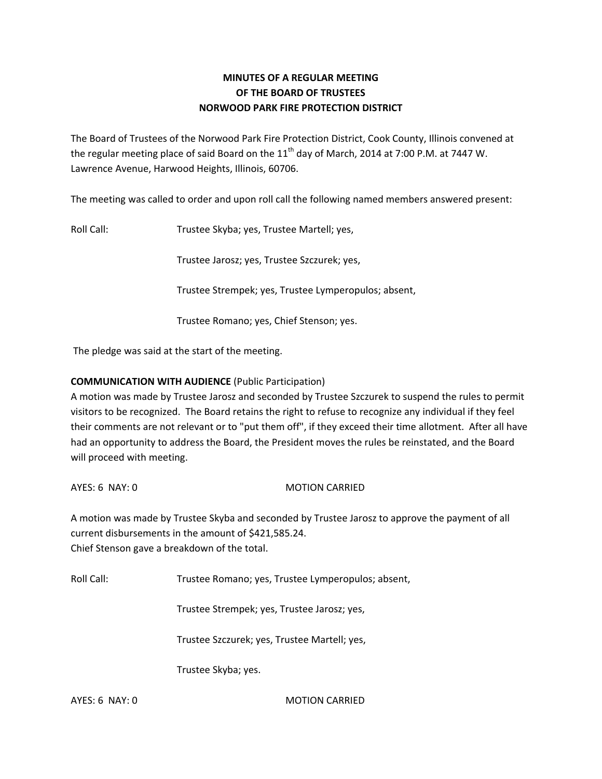# **MINUTES OF A REGULAR MEETING OF THE BOARD OF TRUSTEES NORWOOD PARK FIRE PROTECTION DISTRICT**

The Board of Trustees of the Norwood Park Fire Protection District, Cook County, Illinois convened at the regular meeting place of said Board on the  $11<sup>th</sup>$  day of March, 2014 at 7:00 P.M. at 7447 W. Lawrence Avenue, Harwood Heights, Illinois, 60706.

The meeting was called to order and upon roll call the following named members answered present:

Roll Call: Trustee Skyba; yes, Trustee Martell; yes,

Trustee Jarosz; yes, Trustee Szczurek; yes,

Trustee Strempek; yes, Trustee Lymperopulos; absent,

Trustee Romano; yes, Chief Stenson; yes.

The pledge was said at the start of the meeting.

# **COMMUNICATION WITH AUDIENCE** (Public Participation)

A motion was made by Trustee Jarosz and seconded by Trustee Szczurek to suspend the rules to permit visitors to be recognized. The Board retains the right to refuse to recognize any individual if they feel their comments are not relevant or to "put them off", if they exceed their time allotment. After all have had an opportunity to address the Board, the President moves the rules be reinstated, and the Board will proceed with meeting.

AYES: 6 NAY: 0 MOTION CARRIED

A motion was made by Trustee Skyba and seconded by Trustee Jarosz to approve the payment of all current disbursements in the amount of \$421,585.24. Chief Stenson gave a breakdown of the total.

Roll Call: Trustee Romano; yes, Trustee Lymperopulos; absent,

Trustee Strempek; yes, Trustee Jarosz; yes,

Trustee Szczurek; yes, Trustee Martell; yes,

Trustee Skyba; yes.

AYES: 6 NAY: 0 MOTION CARRIED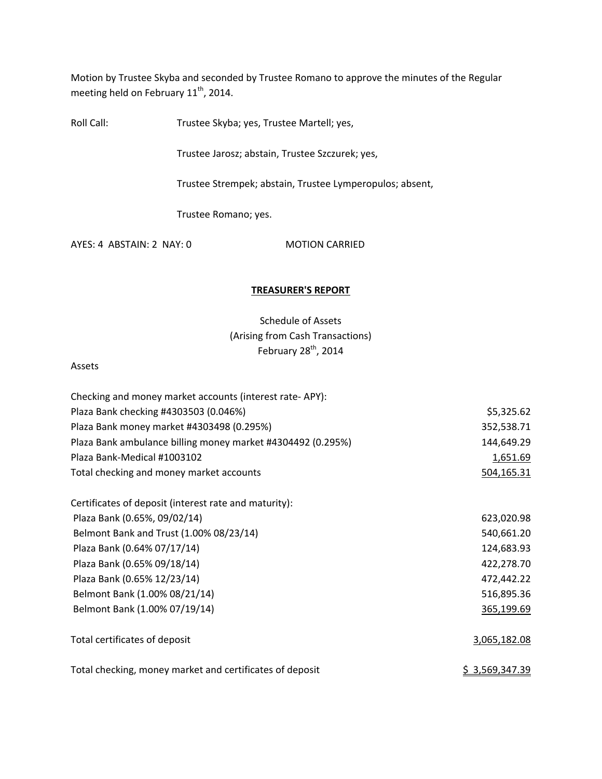Motion by Trustee Skyba and seconded by Trustee Romano to approve the minutes of the Regular meeting held on February  $11^{\text{th}}$ , 2014.

Roll Call: Trustee Skyba; yes, Trustee Martell; yes,

Trustee Jarosz; abstain, Trustee Szczurek; yes,

Trustee Strempek; abstain, Trustee Lymperopulos; absent,

Trustee Romano; yes.

AYES: 4 ABSTAIN: 2 NAY: 0 MOTION CARRIED

### **TREASURER'S REPORT**

Schedule of Assets (Arising from Cash Transactions) February 28<sup>th</sup>, 2014

#### Assets

| Checking and money market accounts (interest rate-APY):     |                       |
|-------------------------------------------------------------|-----------------------|
| Plaza Bank checking #4303503 (0.046%)                       | \$5,325.62            |
| Plaza Bank money market #4303498 (0.295%)                   | 352,538.71            |
| Plaza Bank ambulance billing money market #4304492 (0.295%) | 144,649.29            |
| Plaza Bank-Medical #1003102                                 | 1,651.69              |
| Total checking and money market accounts                    | 504,165.31            |
| Certificates of deposit (interest rate and maturity):       |                       |
| Plaza Bank (0.65%, 09/02/14)                                | 623,020.98            |
| Belmont Bank and Trust (1.00% 08/23/14)                     | 540,661.20            |
| Plaza Bank (0.64% 07/17/14)                                 | 124,683.93            |
| Plaza Bank (0.65% 09/18/14)                                 | 422,278.70            |
| Plaza Bank (0.65% 12/23/14)                                 | 472,442.22            |
| Belmont Bank (1.00% 08/21/14)                               | 516,895.36            |
| Belmont Bank (1.00% 07/19/14)                               | 365,199.69            |
| Total certificates of deposit                               | 3,065,182.08          |
| Total checking, money market and certificates of deposit    | <u>\$3,569,347.39</u> |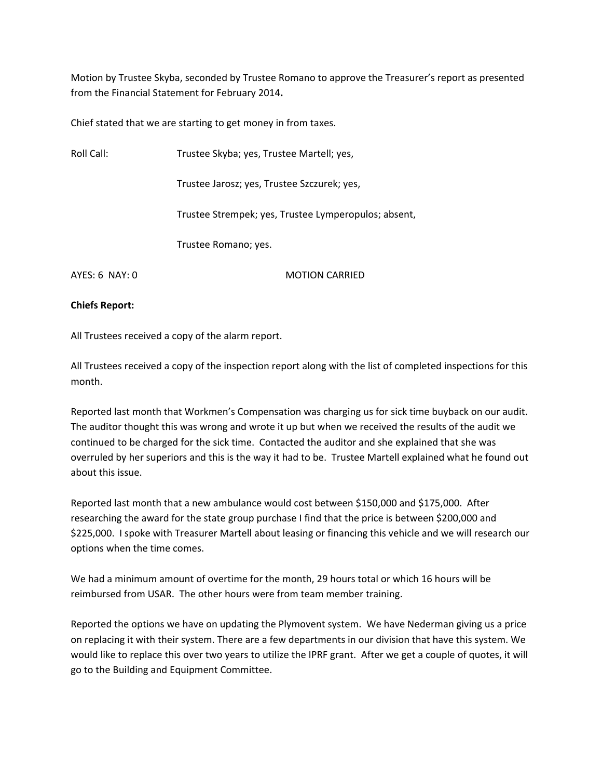Motion by Trustee Skyba, seconded by Trustee Romano to approve the Treasurer's report as presented from the Financial Statement for February 2014**.**

Chief stated that we are starting to get money in from taxes.

| Roll Call:     | Trustee Skyba; yes, Trustee Martell; yes,            |  |
|----------------|------------------------------------------------------|--|
|                | Trustee Jarosz; yes, Trustee Szczurek; yes,          |  |
|                | Trustee Strempek; yes, Trustee Lymperopulos; absent, |  |
|                | Trustee Romano; yes.                                 |  |
| AYES: 6 NAY: 0 | <b>MOTION CARRIED</b>                                |  |

### **Chiefs Report:**

All Trustees received a copy of the alarm report.

All Trustees received a copy of the inspection report along with the list of completed inspections for this month.

Reported last month that Workmen's Compensation was charging us for sick time buyback on our audit. The auditor thought this was wrong and wrote it up but when we received the results of the audit we continued to be charged for the sick time. Contacted the auditor and she explained that she was overruled by her superiors and this is the way it had to be. Trustee Martell explained what he found out about this issue.

Reported last month that a new ambulance would cost between \$150,000 and \$175,000. After researching the award for the state group purchase I find that the price is between \$200,000 and \$225,000. I spoke with Treasurer Martell about leasing or financing this vehicle and we will research our options when the time comes.

We had a minimum amount of overtime for the month, 29 hours total or which 16 hours will be reimbursed from USAR. The other hours were from team member training.

Reported the options we have on updating the Plymovent system. We have Nederman giving us a price on replacing it with their system. There are a few departments in our division that have this system. We would like to replace this over two years to utilize the IPRF grant. After we get a couple of quotes, it will go to the Building and Equipment Committee.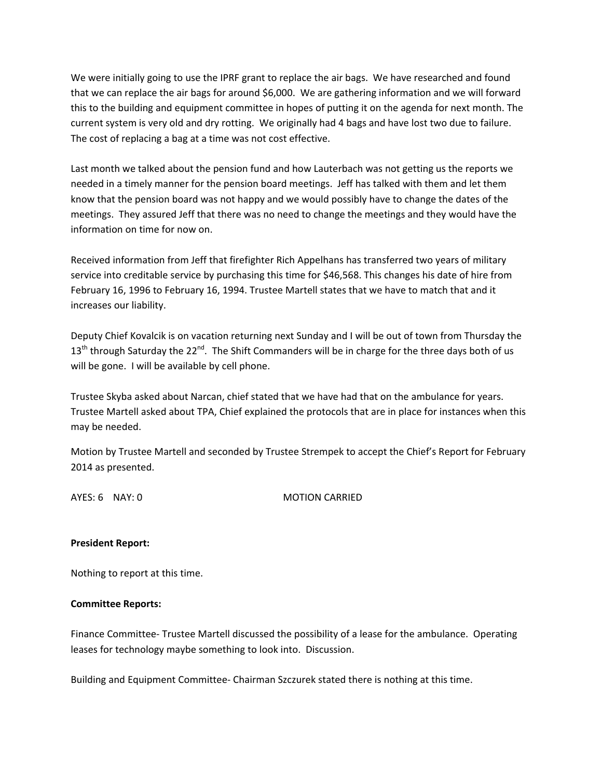We were initially going to use the IPRF grant to replace the air bags. We have researched and found that we can replace the air bags for around \$6,000. We are gathering information and we will forward this to the building and equipment committee in hopes of putting it on the agenda for next month. The current system is very old and dry rotting. We originally had 4 bags and have lost two due to failure. The cost of replacing a bag at a time was not cost effective.

Last month we talked about the pension fund and how Lauterbach was not getting us the reports we needed in a timely manner for the pension board meetings. Jeff has talked with them and let them know that the pension board was not happy and we would possibly have to change the dates of the meetings. They assured Jeff that there was no need to change the meetings and they would have the information on time for now on.

Received information from Jeff that firefighter Rich Appelhans has transferred two years of military service into creditable service by purchasing this time for \$46,568. This changes his date of hire from February 16, 1996 to February 16, 1994. Trustee Martell states that we have to match that and it increases our liability.

Deputy Chief Kovalcik is on vacation returning next Sunday and I will be out of town from Thursday the  $13<sup>th</sup>$  through Saturday the 22<sup>nd</sup>. The Shift Commanders will be in charge for the three days both of us will be gone. I will be available by cell phone.

Trustee Skyba asked about Narcan, chief stated that we have had that on the ambulance for years. Trustee Martell asked about TPA, Chief explained the protocols that are in place for instances when this may be needed.

Motion by Trustee Martell and seconded by Trustee Strempek to accept the Chief's Report for February 2014 as presented.

AYES: 6 NAY: 0 MOTION CARRIED

## **President Report:**

Nothing to report at this time.

## **Committee Reports:**

Finance Committee‐ Trustee Martell discussed the possibility of a lease for the ambulance. Operating leases for technology maybe something to look into. Discussion.

Building and Equipment Committee‐ Chairman Szczurek stated there is nothing at this time.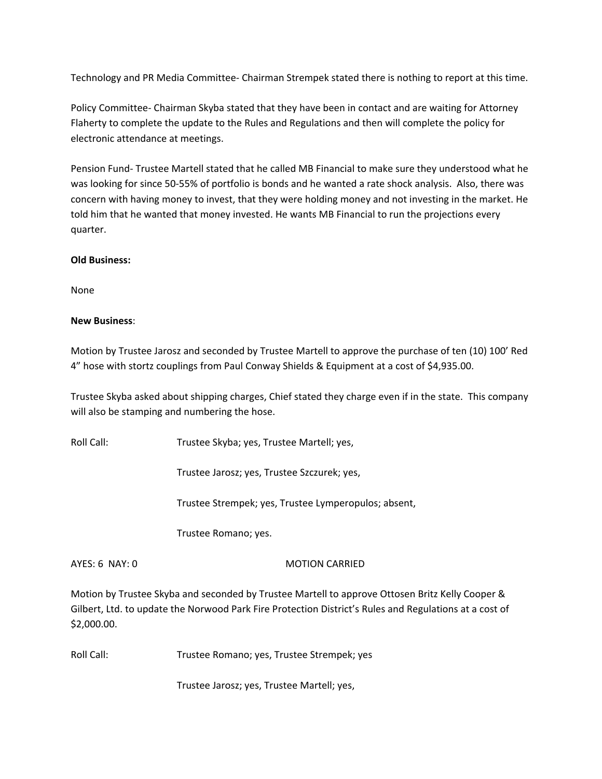Technology and PR Media Committee‐ Chairman Strempek stated there is nothing to report at this time.

Policy Committee‐ Chairman Skyba stated that they have been in contact and are waiting for Attorney Flaherty to complete the update to the Rules and Regulations and then will complete the policy for electronic attendance at meetings.

Pension Fund‐ Trustee Martell stated that he called MB Financial to make sure they understood what he was looking for since 50‐55% of portfolio is bonds and he wanted a rate shock analysis. Also, there was concern with having money to invest, that they were holding money and not investing in the market. He told him that he wanted that money invested. He wants MB Financial to run the projections every quarter.

# **Old Business:**

None

# **New Business**:

Motion by Trustee Jarosz and seconded by Trustee Martell to approve the purchase of ten (10) 100' Red 4" hose with stortz couplings from Paul Conway Shields & Equipment at a cost of \$4,935.00.

Trustee Skyba asked about shipping charges, Chief stated they charge even if in the state. This company will also be stamping and numbering the hose.

Roll Call: Trustee Skyba; yes, Trustee Martell; yes,

Trustee Jarosz; yes, Trustee Szczurek; yes,

Trustee Strempek; yes, Trustee Lymperopulos; absent,

Trustee Romano; yes.

## AYES: 6 NAY: 0 MOTION CARRIED

Motion by Trustee Skyba and seconded by Trustee Martell to approve Ottosen Britz Kelly Cooper & Gilbert, Ltd. to update the Norwood Park Fire Protection District's Rules and Regulations at a cost of \$2,000.00.

Roll Call: Trustee Romano; yes, Trustee Strempek; yes

Trustee Jarosz; yes, Trustee Martell; yes,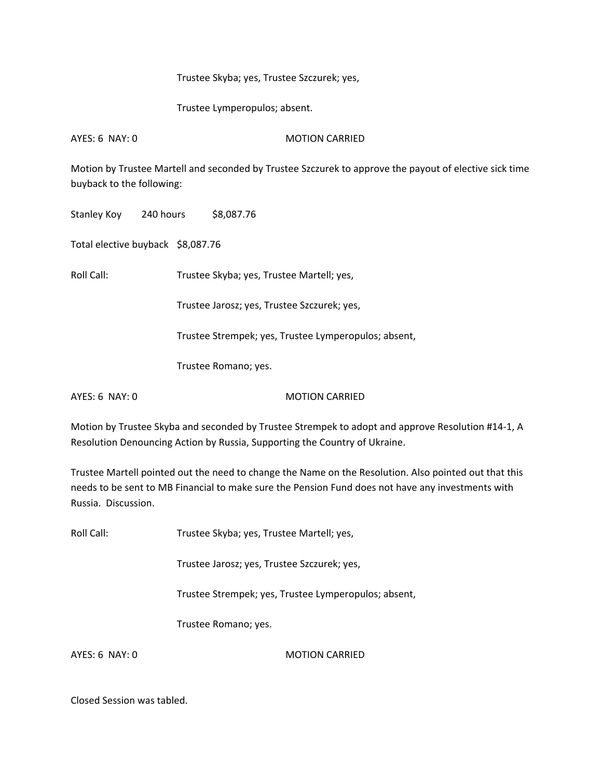### Trustee Skyba; yes, Trustee Szczurek; yes,

Trustee Lymperopulos; absent.

AYES: 6 NAY: 0 MOTION CARRIED

Motion by Trustee Martell and seconded by Trustee Szczurek to approve the payout of elective sick time buyback to the following:

Stanley Koy 240 hours \$8,087.76

Total elective buyback \$8,087.76

Roll Call: Trustee Skyba; yes, Trustee Martell; yes,

Trustee Jarosz; yes, Trustee Szczurek; yes,

Trustee Strempek; yes, Trustee Lymperopulos; absent,

Trustee Romano; yes.

AYES: 6 NAY: 0 MOTION CARRIED

Motion by Trustee Skyba and seconded by Trustee Strempek to adopt and approve Resolution #14‐1, A Resolution Denouncing Action by Russia, Supporting the Country of Ukraine.

Trustee Martell pointed out the need to change the Name on the Resolution. Also pointed out that this needs to be sent to MB Financial to make sure the Pension Fund does not have any investments with Russia. Discussion.

Roll Call: Trustee Skyba; yes, Trustee Martell; yes,

Trustee Jarosz; yes, Trustee Szczurek; yes,

Trustee Strempek; yes, Trustee Lymperopulos; absent,

Trustee Romano; yes.

AYES: 6 NAY: 0 MOTION CARRIED

Closed Session was tabled.